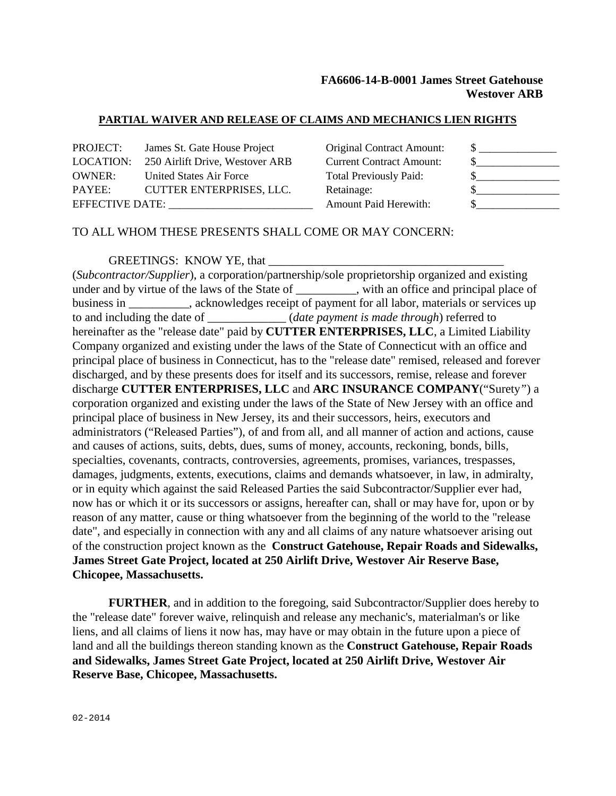# **FA6606-14-B-0001 James Street Gatehouse Westover ARB**

#### **PARTIAL WAIVER AND RELEASE OF CLAIMS AND MECHANICS LIEN RIGHTS**

| PROJECT:               | James St. Gate House Project    | <b>Original Contract Amount:</b> |  |
|------------------------|---------------------------------|----------------------------------|--|
| LOCATION:              | 250 Airlift Drive, Westover ARB | <b>Current Contract Amount:</b>  |  |
| <b>OWNER:</b>          | United States Air Force         | <b>Total Previously Paid:</b>    |  |
| PAYEE:                 | <b>CUTTER ENTERPRISES, LLC.</b> | Retainage:                       |  |
| <b>EFFECTIVE DATE:</b> |                                 | <b>Amount Paid Herewith:</b>     |  |
|                        |                                 |                                  |  |

## TO ALL WHOM THESE PRESENTS SHALL COME OR MAY CONCERN:

#### GREETINGS: KNOW YE, that

(*Subcontractor/Supplier*), a corporation/partnership/sole proprietorship organized and existing under and by virtue of the laws of the State of \_\_\_\_\_\_\_\_, with an office and principal place of business in \_\_\_\_\_\_\_\_\_\_, acknowledges receipt of payment for all labor, materials or services up to and including the date of  $(date payment is made through)$  referred to hereinafter as the "release date" paid by **CUTTER ENTERPRISES, LLC**, a Limited Liability Company organized and existing under the laws of the State of Connecticut with an office and principal place of business in Connecticut, has to the "release date" remised, released and forever discharged, and by these presents does for itself and its successors, remise, release and forever discharge **CUTTER ENTERPRISES, LLC** and **ARC INSURANCE COMPANY**("Surety*"*) a corporation organized and existing under the laws of the State of New Jersey with an office and principal place of business in New Jersey, its and their successors, heirs, executors and administrators ("Released Parties"), of and from all, and all manner of action and actions, cause and causes of actions, suits, debts, dues, sums of money, accounts, reckoning, bonds, bills, specialties, covenants, contracts, controversies, agreements, promises, variances, trespasses, damages, judgments, extents, executions, claims and demands whatsoever, in law, in admiralty, or in equity which against the said Released Parties the said Subcontractor/Supplier ever had, now has or which it or its successors or assigns, hereafter can, shall or may have for, upon or by reason of any matter, cause or thing whatsoever from the beginning of the world to the "release date", and especially in connection with any and all claims of any nature whatsoever arising out of the construction project known as the **Construct Gatehouse, Repair Roads and Sidewalks, James Street Gate Project, located at 250 Airlift Drive, Westover Air Reserve Base, Chicopee, Massachusetts.**

**FURTHER**, and in addition to the foregoing, said Subcontractor/Supplier does hereby to the "release date" forever waive, relinquish and release any mechanic's, materialman's or like liens, and all claims of liens it now has, may have or may obtain in the future upon a piece of land and all the buildings thereon standing known as the **Construct Gatehouse, Repair Roads and Sidewalks, James Street Gate Project, located at 250 Airlift Drive, Westover Air Reserve Base, Chicopee, Massachusetts.**